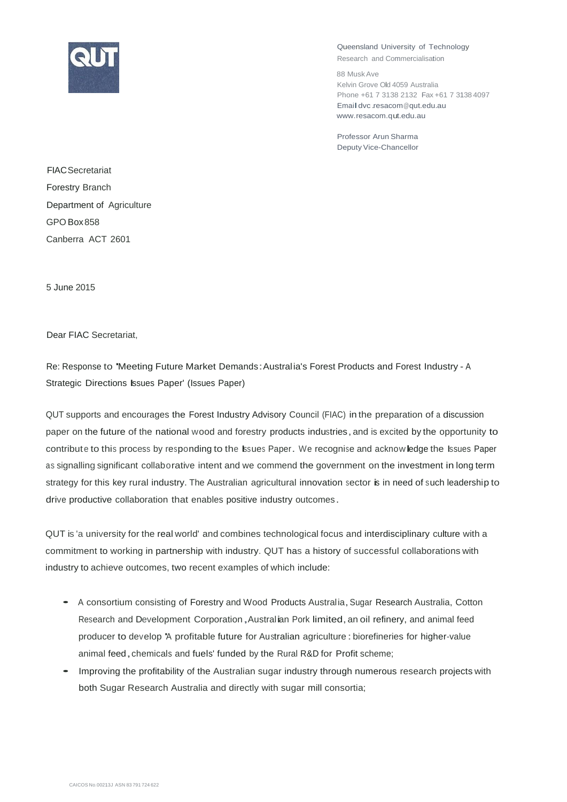

Queensland University of Technology

Research and Commercialisation

88 MuskAve Kelvin Grove Old 4059 Australia Phone +61 7 3138 2132 Fax +61 7 3138 4097 Emaildvc[.resacom@qut.edu.au](mailto:resacom@qut.edu.au) [www.resacom.qut.edu.au](http://www.resacom.qut.edu.au/)

Professor Arun Sharma Deputy Vice-Chancellor

**FIAC**Secretariat Forestry Branch Department of Agriculture GPO Box858 Canberra ACT 2601

5 June 2015

Dear FIAC Secretariat,

Re: Response to 'Meeting Future Market Demands:Australia's Forest Products and Forest Industry - <sup>A</sup> Strategic Directions Issues Paper' (Issues Paper)

QUT supports and encourages the Forest Industry Advisory Council (FIAC) in the preparation of a discussion paper on the future of the national wood and forestry products industries, and is excited by the opportunity to contribute to this process by responding to the Issues Paper. We recognise and acknowledge the Issues Paper as signalling significant collaborative intent and we commend the government on the investment in long term strategy for this key rural industry. The Australian agricultural innovation sector is in need of such leadership to drive productive collaboration that enables positive industry outcomes .

QUT is 'a university for the real world' and combines technological focus and interdisciplinary culture with a commitment to working in partnership with industry. QUT has a history of successful collaborations with industry to achieve outcomes, two recent examples of which include:

- A consortium consisting of Forestry and Wood Products Australia, Sugar Research Australia, Cotton Research and Development Corporation, Australian Pork limited, an oil refinery, and animal feed producer to develop 'A profitable future for Australian agriculture :biorefineries for higher-value animal feed, chemicals and fuels' funded by the Rural R&D for Profit scheme;
- Improving the profitability of the Australian sugar industry through numerous research projects with both Sugar Research Australia and directly with sugar mill consortia;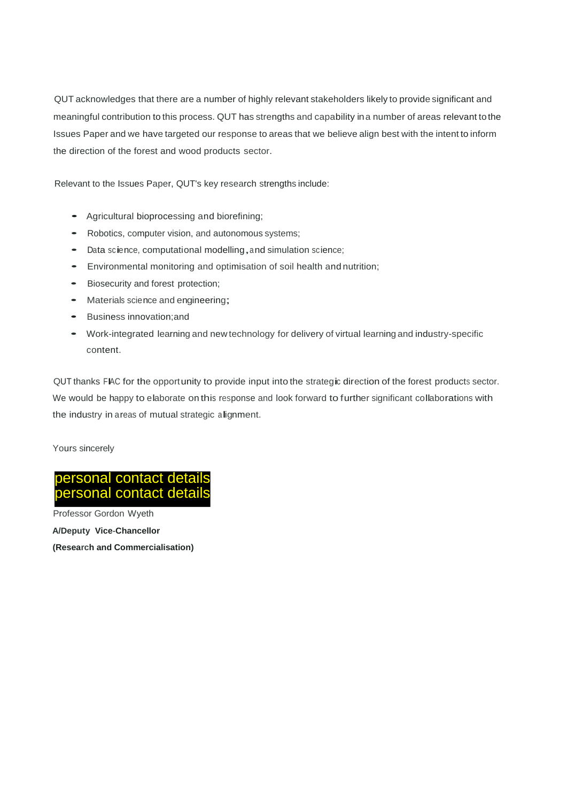QUT acknowledges that there are a number of highly relevant stakeholders likely to provide significant and meaningful contribution to this process. QUT has strengths and capability ina number of areas relevant tothe Issues Paper and we have targeted our response to areas that we believe align best with the intent to inform the direction of the forest and wood products sector.

Relevant to the Issues Paper, QUT's key research strengths include:

- Agricultural bioprocessing and biorefining;
- Robotics, computer vision, and autonomous systems;
- Data science, computational modelling,and simulation science;
- Environmental monitoring and optimisation of soil health and nutrition;
- Biosecurity and forest protection;
- Materials science and engineering;
- Business innovation;and
- Work-integrated learning and new technology for delivery of virtual learning and industry-specific content.

QUT thanks FIAC for the opportunity to provide input into the strategic direction of the forest products sector. We would be happy to elaborate on this response and look forward to further significant collaborations with the industry in areas of mutual strategic alignment.

Yours sincerely



Professor Gordon Wyeth **A/Deputy Vice-Chancellor (Research and Commercialisation)**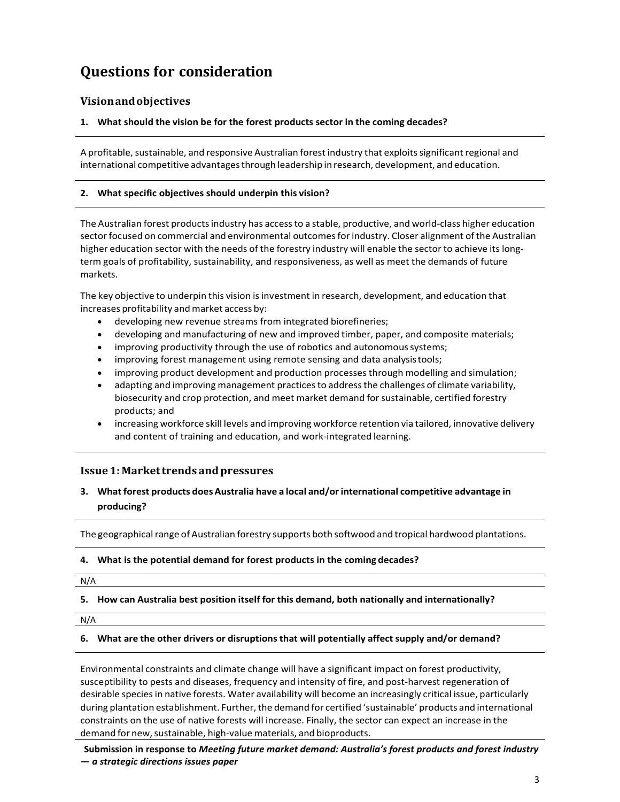# **Questions for consideration**

# **Visionandobjectives**

## **1. What should the vision be for the forest products sector in the coming decades?**

A profitable, sustainable, and responsive Australian forest industry that exploits significant regional and international competitive advantagesthrough leadership inresearch, development, and education.

#### **2. What specific objectives should underpin this vision?**

The Australian forest productsindustry has accessto a stable, productive, and world‐class higher education sector focused on commercial and environmental outcomes for industry. Closer alignment of the Australian higher education sector with the needs of the forestry industry will enable the sector to achieve its longterm goals of profitability, sustainability, and responsiveness, as well as meet the demands of future markets.

The key objective to underpin this vision is investment in research, development, and education that increases profitability and market access by:

- developing new revenue streams from integrated biorefineries;
- developing and manufacturing of new and improved timber, paper, and composite materials;
- improving productivity through the use of robotics and autonomoussystems;
- improving forest management using remote sensing and data analysistools;
- improving product development and production processes through modelling and simulation;
- adapting and improving management practicesto addressthe challenges of climate variability, biosecurity and crop protection, and meet market demand forsustainable, certified forestry products; and
- increasing workforce skill levels and improving workforce retention via tailored, innovative delivery and content of training and education, and work‐integrated learning.

# **Issue1:Markettrends andpressures**

# **3. What forest products does Australia have a local and/or international competitive advantage in producing?**

The geographical range of Australian forestry supports both softwood and tropical hardwood plantations.

#### **4. What is the potential demand for forest products in the coming decades?**

N/A

#### **5. How can Australia best position itself for this demand, both nationally and internationally?**

N/A

#### **6. What are the other drivers or disruptionsthat will potentially affect supply and/or demand?**

Environmental constraints and climate change will have a significant impact on forest productivity, susceptibility to pests and diseases, frequency and intensity of fire, and post-harvest regeneration of desirable speciesin native forests. Water availability will become an increasingly critical issue, particularly during plantation establishment. Further, the demand for certified 'sustainable' products and international constraints on the use of native forests will increase. Finally, the sector can expect an increase in the demand for new, sustainable, high-value materials, and bioproducts.

**Submission in response to** *Meeting future market demand: Australia's forest products and forest industry — a strategic directions issues paper*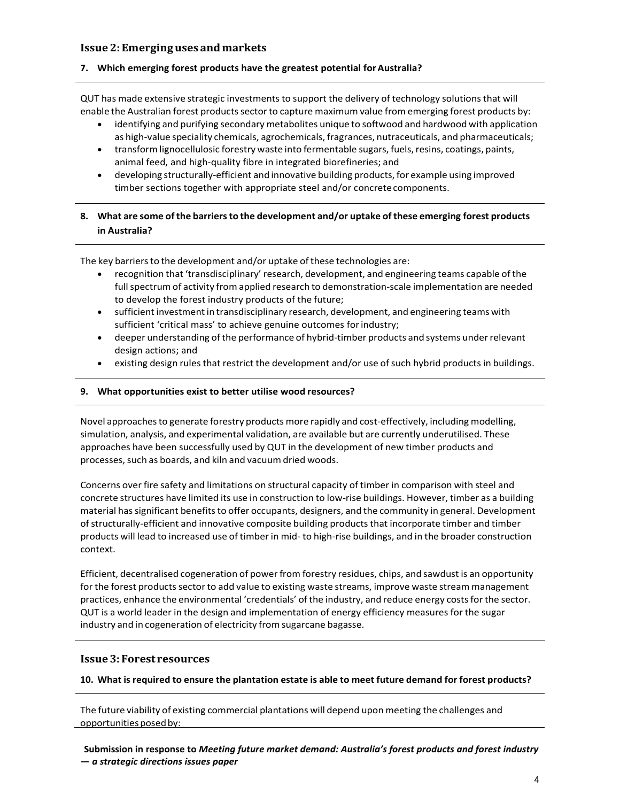## **Issue 2:Emerginguses andmarkets**

#### **7. Which emerging forest products have the greatest potential forAustralia?**

QUT has made extensive strategic investments to support the delivery of technology solutionsthat will enable the Australian forest products sector to capture maximum value from emerging forest products by:

- identifying and purifying secondary metabolites unique to softwood and hardwood with application as high-value speciality chemicals, agrochemicals, fragrances, nutraceuticals, and pharmaceuticals;
- transform lignocellulosic forestry waste into fermentable sugars, fuels, resins, coatings, paints, animal feed, and high‐quality fibre in integrated biorefineries; and
- developing structurally-efficient and innovative building products, for example using improved timber sections together with appropriate steel and/or concrete components.

# **8. What are some ofthe barriersto the development and/or uptake ofthese emerging forest products in Australia?**

The key barriers to the development and/or uptake of these technologies are:

- recognition that 'transdisciplinary' research, development, and engineering teams capable ofthe full spectrum of activity from applied research to demonstration-scale implementation are needed to develop the forest industry products of the future;
- sufficientinvestmentin transdisciplinary research, development, and engineering teams with sufficient 'critical mass' to achieve genuine outcomes for industry;
- deeper understanding of the performance of hybrid-timber products and systems under relevant design actions; and
- existing design rules that restrict the development and/or use of such hybrid products in buildings.

#### **9. What opportunities exist to better utilise wood resources?**

Novel approachesto generate forestry products more rapidly and cost‐effectively, including modelling, simulation, analysis, and experimental validation, are available but are currently underutilised. These approaches have been successfully used by QUT in the development of new timber products and processes, such as boards, and kiln and vacuum dried woods.

Concerns over fire safety and limitations on structural capacity of timber in comparison with steel and concrete structures have limited its use in construction to low‐rise buildings. However, timber as a building material has significant benefits to offer occupants, designers, and the community in general. Development of structurally‐efficient and innovative composite building products that incorporate timber and timber products will lead to increased use of timber in mid‐ to high‐rise buildings, and in the broader construction context.

Efficient, decentralised cogeneration of power from forestry residues, chips, and sawdust is an opportunity for the forest products sector to add value to existing waste streams, improve waste stream management practices, enhance the environmental 'credentials' of the industry, and reduce energy costs for the sector. QUT is a world leader in the design and implementation of energy efficiency measures for the sugar industry and in cogeneration of electricity from sugarcane bagasse.

#### **Issue3: Forest resources**

**10. What isrequired to ensure the plantation estate is able to meet future demand for forest products?**

The future viability of existing commercial plantations will depend upon meeting the challenges and opportunities posed by:

**Submission in response to** *Meeting future market demand: Australia's forest products and forest industry — a strategic directions issues paper*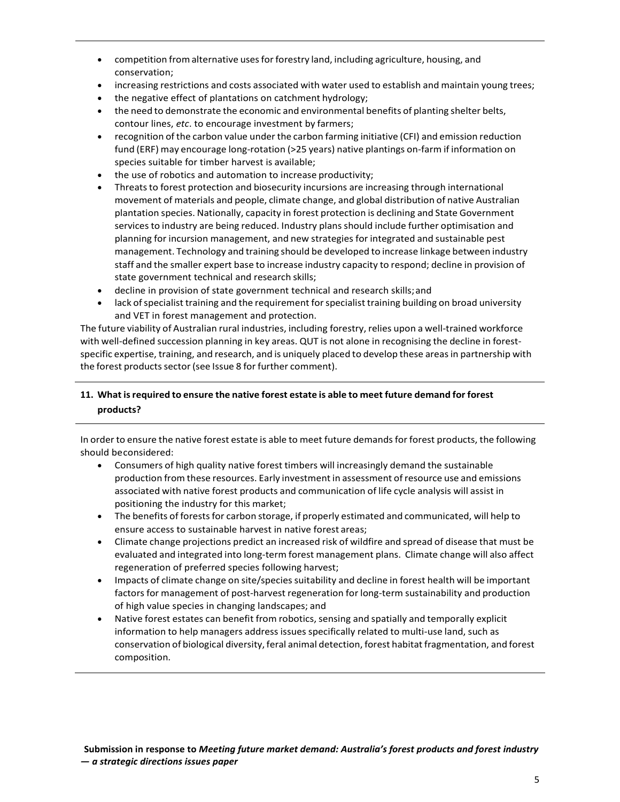- competition fromalternative usesforforestry land, including agriculture, housing, and conservation;
- increasing restrictions and costs associated with water used to establish and maintain young trees;
- the negative effect of plantations on catchment hydrology;
- the need to demonstrate the economic and environmental benefits of planting shelter belts, contour lines, *etc*. to encourage investment by farmers;
- recognition of the carbon value under the carbon farming initiative (CFI) and emission reduction fund (ERF) may encourage long-rotation (>25 years) native plantings on-farm if information on species suitable for timber harvest is available;
- the use of robotics and automation to increase productivity;
- Threats to forest protection and biosecurity incursions are increasing through international movement of materials and people, climate change, and global distribution of native Australian plantation species. Nationally, capacity in forest protection is declining and State Government services to industry are being reduced. Industry plans should include further optimisation and planning for incursion management, and new strategies for integrated and sustainable pest management. Technology and training should be developed to increase linkage between industry staff and the smaller expert base to increase industry capacity to respond; decline in provision of state government technical and research skills;
- decline in provision of state government technical and research skills;and
- lack of specialist training and the requirement for specialist training building on broad university and VET in forest management and protection.

The future viability of Australian rural industries, including forestry, relies upon a well‐trained workforce with well-defined succession planning in key areas. QUT is not alone in recognising the decline in forestspecific expertise, training, and research, and is uniquely placed to develop these areas in partnership with the forest products sector (see Issue 8 for further comment).

# **11. What isrequired to ensure the native forest estate is able to meet future demand for forest products?**

In order to ensure the native forest estate is able to meet future demands for forest products, the following should beconsidered:

- Consumers of high quality native forest timbers will increasingly demand the sustainable production from these resources. Early investment in assessment ofresource use and emissions associated with native forest products and communication of life cycle analysis will assist in positioning the industry for this market;
- The benefits of forests for carbon storage, if properly estimated and communicated, will help to ensure access to sustainable harvest in native forest areas;
- Climate change projections predict an increased risk of wildfire and spread of disease that must be evaluated and integrated into long‐term forest management plans. Climate change will also affect regeneration of preferred species following harvest;
- Impacts of climate change on site/species suitability and decline in forest health will be important factors for management of post-harvest regeneration for long-term sustainability and production of high value species in changing landscapes; and
- Native forest estates can benefit from robotics, sensing and spatially and temporally explicit information to help managers address issues specifically related to multi-use land, such as conservation of biological diversity, feral animal detection, forest habitat fragmentation, and forest composition.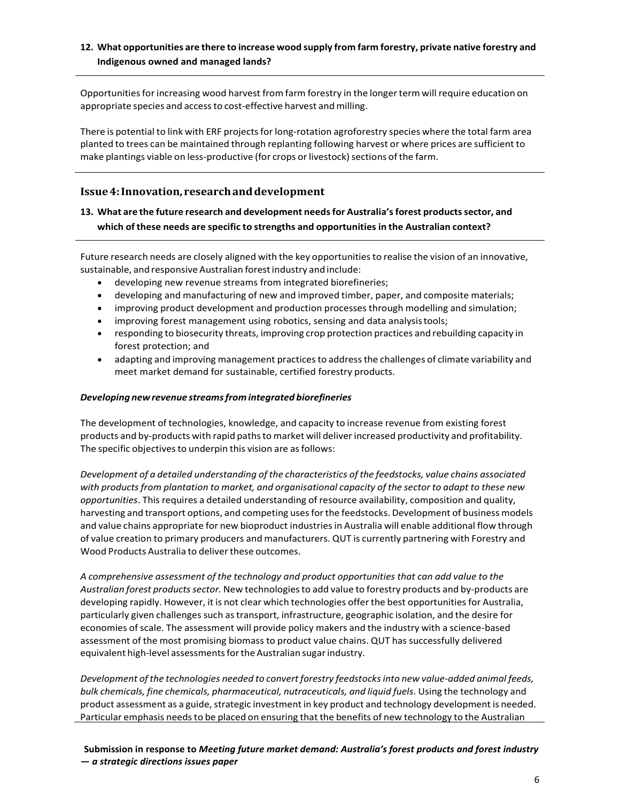# **12. What opportunities are there to increase wood supply from farm forestry, private native forestry and Indigenous owned and managed lands?**

Opportunities for increasing wood harvest from farm forestry in the longer term will require education on appropriate species and access to cost-effective harvest and milling.

There is potential to link with ERF projects for long-rotation agroforestry species where the total farm area planted to trees can be maintained through replanting following harvest or where prices are sufficient to make plantings viable on less-productive (for crops or livestock) sections of the farm.

# **Issue4:Innovation, researchanddevelopment**

# **13. What are the future research and development needsfor Australia'sforest productssector, and which of these needs are specific to strengths and opportunities in the Australian context?**

Future research needs are closely aligned with the key opportunitiesto realise the vision of an innovative, sustainable, and responsive Australian forestindustry and include:

- developing new revenue streams from integrated biorefineries;
- developing and manufacturing of new and improved timber, paper, and composite materials;
- improving product development and production processes through modelling and simulation;
- improving forest management using robotics, sensing and data analysistools;
- responding to biosecurity threats, improving crop protection practices and rebuilding capacity in forest protection; and
- adapting and improving management practices to address the challenges of climate variability and meet market demand for sustainable, certified forestry products.

#### *Developing newrevenue streamsfrom integrated biorefineries*

The development of technologies, knowledge, and capacity to increase revenue from existing forest products and by-products with rapid paths to market will deliver increased productivity and profitability. The specific objectives to underpin this vision are as follows:

*Development of a detailed understanding ofthe characteristics of the feedstocks, value chains associated with products from plantation to market, and organisational capacity of the sector to adapt to these new opportunities*. This requires a detailed understanding of resource availability, composition and quality, harvesting and transport options, and competing uses for the feedstocks. Development of business models and value chains appropriate for new bioproduct industriesin Australia will enable additional flow through of value creation to primary producers and manufacturers. QUT is currently partnering with Forestry and Wood Products Australia to deliver these outcomes.

*A comprehensive assessment of the technology and product opportunities that can add value to the Australian forest productssector.* New technologiesto add value to forestry products and by‐products are developing rapidly. However, it is not clear which technologies offer the best opportunitiesfor Australia, particularly given challenges such astransport, infrastructure, geographic isolation, and the desire for economies of scale. The assessment will provide policy makers and the industry with a science-based assessment of the most promising biomass to product value chains. QUT has successfully delivered equivalent high-level assessments for the Australian sugar industry.

*Development ofthe technologies needed to convert forestry feedstocksinto new value‐added animal feeds, bulk chemicals, fine chemicals, pharmaceutical, nutraceuticals, and liquid fuels*. Using the technology and product assessment as a guide, strategic investment in key product and technology development is needed. Particular emphasis needsto be placed on ensuring that the benefits of new technology to the Australian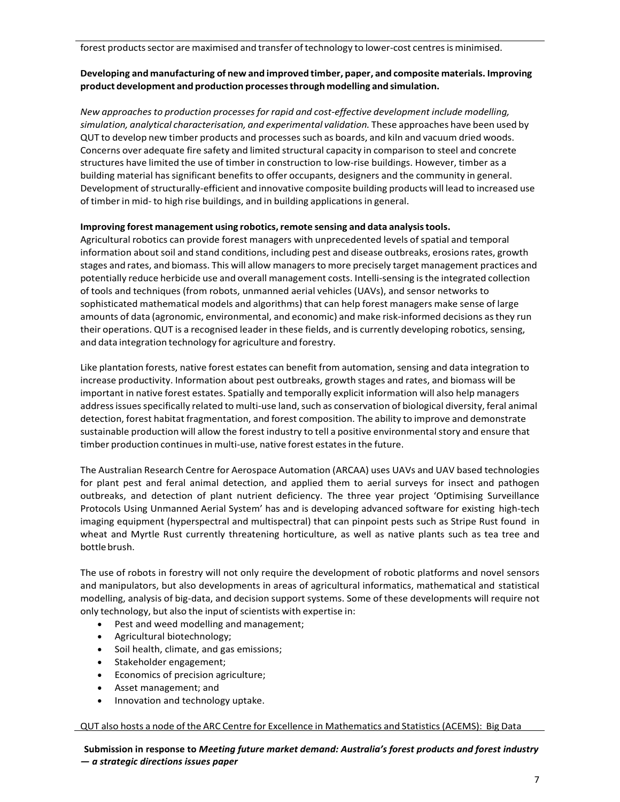forest products sector are maximised and transfer of technology to lower-cost centres is minimised.

## **Developing and manufacturing of new and improved timber, paper, and composite materials. Improving product development and production processesthrough modelling and simulation.**

*New approachesto production processes for rapid and cost‐effective development include modelling, simulation, analytical characterisation, and experimental validation.* These approaches have been used by QUT to develop new timber products and processes such as boards, and kiln and vacuum dried woods. Concerns over adequate fire safety and limited structural capacity in comparison to steel and concrete structures have limited the use of timber in construction to low‐rise buildings. However, timber as a building material has significant benefits to offer occupants, designers and the community in general. Development of structurally-efficient and innovative composite building products will lead to increased use of timber in mid- to high rise buildings, and in building applications in general.

## **Improving forest management using robotics,remote sensing and data analysistools.**

Agricultural robotics can provide forest managers with unprecedented levels of spatial and temporal information about soil and stand conditions, including pest and disease outbreaks, erosions rates, growth stages and rates, and biomass. This will allow managersto more precisely target management practices and potentially reduce herbicide use and overall management costs. Intelli‐sensing isthe integrated collection of tools and techniques (from robots, unmanned aerial vehicles (UAVs), and sensor networks to sophisticated mathematical models and algorithms) that can help forest managers make sense of large amounts of data (agronomic, environmental, and economic) and make risk-informed decisions as they run their operations. QUT is a recognised leader in these fields, and is currently developing robotics, sensing, and data integration technology for agriculture and forestry.

Like plantation forests, native forest estates can benefit from automation, sensing and data integration to increase productivity. Information about pest outbreaks, growth stages and rates, and biomass will be important in native forest estates. Spatially and temporally explicit information will also help managers address issues specifically related to multi-use land, such as conservation of biological diversity, feral animal detection, forest habitat fragmentation, and forest composition. The ability to improve and demonstrate sustainable production will allow the forest industry to tell a positive environmentalstory and ensure that timber production continues in multi-use, native forest estates in the future.

The Australian Research Centre for Aerospace Automation (ARCAA) uses UAVs and UAV based technologies for plant pest and feral animal detection, and applied them to aerial surveys for insect and pathogen outbreaks, and detection of plant nutrient deficiency. The three year project 'Optimising Surveillance Protocols Using Unmanned Aerial System' has and is developing advanced software for existing high‐tech imaging equipment (hyperspectral and multispectral) that can pinpoint pests such as Stripe Rust found in wheat and Myrtle Rust currently threatening horticulture, as well as native plants such as tea tree and bottle brush.

The use of robots in forestry will not only require the development of robotic platforms and novel sensors and manipulators, but also developments in areas of agricultural informatics, mathematical and statistical modelling, analysis of big‐data, and decision support systems. Some of these developments will require not only technology, but also the input of scientists with expertise in:

- Pest and weed modelling and management;
- Agricultural biotechnology;
- Soil health, climate, and gas emissions;
- Stakeholder engagement;
- Economics of precision agriculture;
- Asset management; and
- Innovation and technology uptake.

#### QUT also hosts a node of the ARC Centre for Excellence in Mathematics and Statistics (ACEMS): Big Data

**Submission in response to** *Meeting future market demand: Australia's forest products and forest industry — a strategic directions issues paper*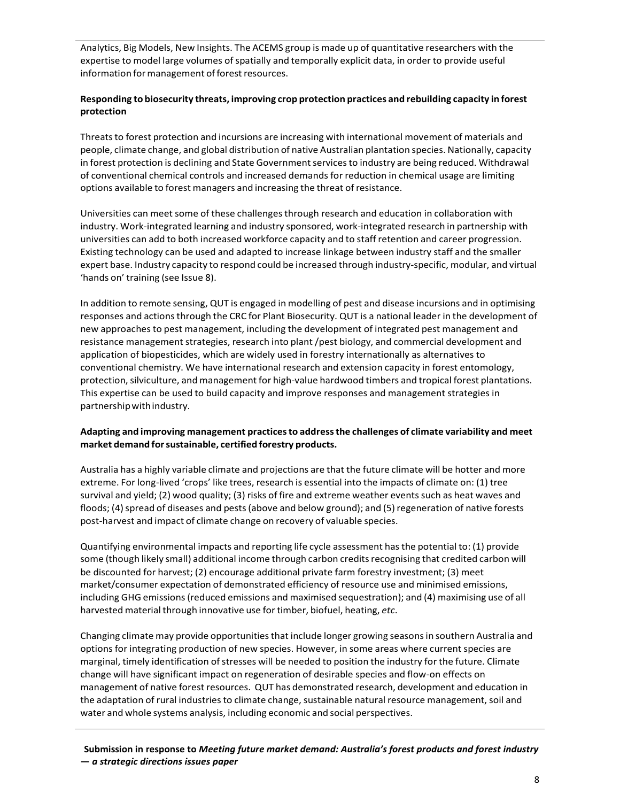Analytics, Big Models, New Insights. The ACEMS group is made up of quantitative researchers with the expertise to model large volumes of spatially and temporally explicit data, in order to provide useful information for management of forest resources.

## **Responding to biosecurity threats, improving crop protection practices and rebuilding capacity in forest protection**

Threats to forest protection and incursions are increasing with international movement of materials and people, climate change, and global distribution of native Australian plantation species. Nationally, capacity in forest protection is declining and State Government services to industry are being reduced. Withdrawal of conventional chemical controls and increased demands for reduction in chemical usage are limiting options available to forest managers and increasing the threat of resistance.

Universities can meet some of these challenges through research and education in collaboration with industry. Work‐integrated learning and industry sponsored, work‐integrated research in partnership with universities can add to both increased workforce capacity and to staff retention and career progression. Existing technology can be used and adapted to increase linkage between industry staff and the smaller expert base. Industry capacity to respond could be increased through industry‐specific, modular, and virtual 'hands on' training (see Issue 8).

In addition to remote sensing, QUT is engaged in modelling of pest and disease incursions and in optimising responses and actions through the CRC for Plant Biosecurity. QUT is a national leader in the development of new approachesto pest management, including the development of integrated pest management and resistance management strategies, research into plant/pest biology, and commercial development and application of biopesticides, which are widely used in forestry internationally as alternatives to conventional chemistry. We have international research and extension capacity in forest entomology, protection, silviculture, and management for high-value hardwood timbers and tropical forest plantations. This expertise can be used to build capacity and improve responses and management strategies in partnershipwithindustry.

## **Adapting and improving management practicesto addressthe challenges of climate variability and meet market demand forsustainable, certified forestry products.**

Australia has a highly variable climate and projections are that the future climate will be hotter and more extreme. For long‐lived 'crops' like trees, research is essential into the impacts of climate on: (1) tree survival and yield; (2) wood quality; (3) risks of fire and extreme weather events such as heat waves and floods; (4) spread of diseases and pests (above and below ground); and (5) regeneration of native forests post‐harvest and impact of climate change on recovery of valuable species.

Quantifying environmental impacts and reporting life cycle assessment hasthe potential to: (1) provide some (though likely small) additional income through carbon credits recognising that credited carbon will be discounted for harvest; (2) encourage additional private farm forestry investment; (3) meet market/consumer expectation of demonstrated efficiency of resource use and minimised emissions, including GHG emissions(reduced emissions and maximised sequestration); and (4) maximising use of all harvested material through innovative use for timber, biofuel, heating, etc.

Changing climate may provide opportunitiesthat include longer growing seasonsin southern Australia and options for integrating production of new species. However, in some areas where current species are marginal, timely identification ofstresses will be needed to position the industry for the future. Climate change will have significant impact on regeneration of desirable species and flow‐on effects on management of native forest resources. QUT has demonstrated research, development and education in the adaptation of rural industries to climate change, sustainable natural resource management, soil and water and whole systems analysis, including economic and social perspectives.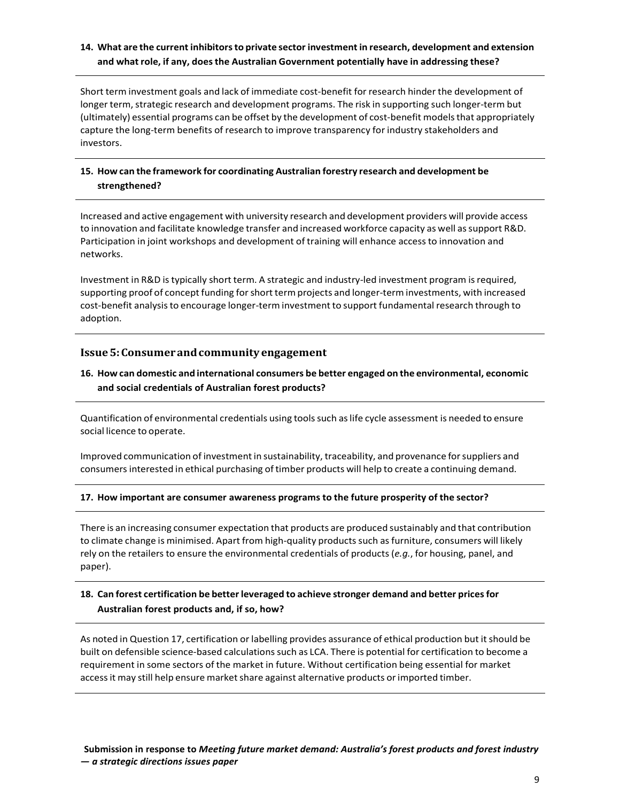# **14. What are the current inhibitorsto private sector investment in research, development and extension and what role, if any, doesthe Australian Government potentially have in addressing these?**

Short term investment goals and lack of immediate cost‐benefit for research hinder the development of longer term, strategic research and development programs. The risk in supporting such longer-term but (ultimately) essential programs can be offset by the development of cost-benefit models that appropriately capture the long‐term benefits of research to improve transparency for industry stakeholders and investors.

# **15. How can the framework for coordinating Australian forestry research and development be strengthened?**

Increased and active engagement with university research and development providers will provide access to innovation and facilitate knowledge transfer and increased workforce capacity as well as support R&D. Participation in joint workshops and development of training will enhance accessto innovation and networks.

Investment in R&D is typically short term. A strategic and industry-led investment program is required, supporting proof of concept funding for short term projects and longer-term investments, with increased cost-benefit analysis to encourage longer-term investment to support fundamental research through to adoption.

#### **Issue5:Consumerandcommunityengagement**

# **16. How can domestic and international consumers be better engaged on the environmental, economic and social credentials of Australian forest products?**

Quantification of environmental credentials using toolssuch aslife cycle assessment is needed to ensure social licence to operate.

Improved communication of investment in sustainability, traceability, and provenance for suppliers and consumersinterested in ethical purchasing oftimber products will help to create a continuing demand.

#### **17. How important are consumer awareness programs to the future prosperity of the sector?**

There is an increasing consumer expectation that products are produced sustainably and that contribution to climate change is minimised. Apart from high-quality products such as furniture, consumers will likely rely on the retailers to ensure the environmental credentials of products (*e.g.*, for housing, panel, and paper).

# **18. Can forest certification be betterleveraged to achieve stronger demand and better pricesfor Australian forest products and, if so, how?**

As noted in Question 17, certification or labelling provides assurance of ethical production but itshould be built on defensible science-based calculations such as LCA. There is potential for certification to become a requirement in some sectors of the market in future. Without certification being essential for market access it may still help ensure market share against alternative products or imported timber.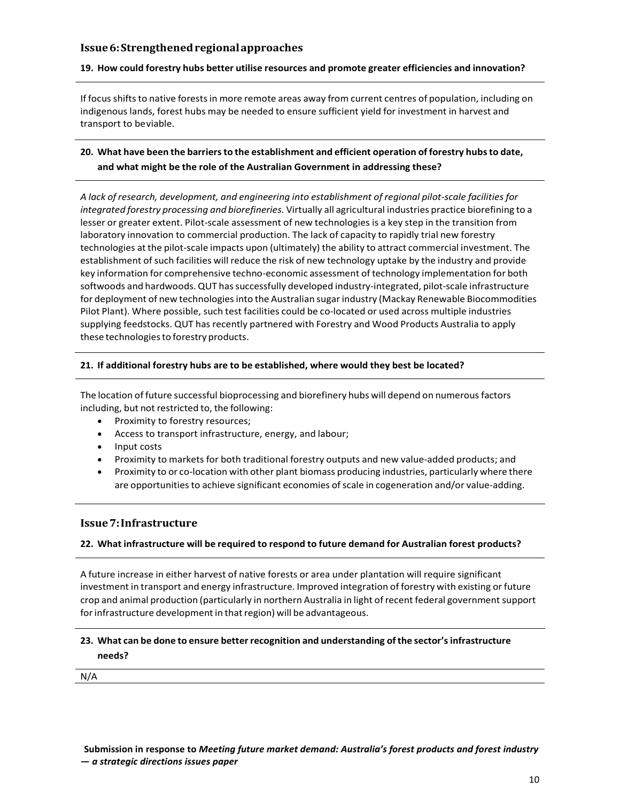## **Issue6:Strengthenedregionalapproaches**

#### **19. How could forestry hubs better utilise resources and promote greater efficiencies and innovation?**

If focus shifts to native forests in more remote areas away from current centres of population, including on indigenous lands, forest hubs may be needed to ensure sufficient yield for investment in harvest and transport to beviable.

# **20. What have been the barriersto the establishment and efficient operation of forestry hubsto date, and what might be the role of the Australian Government in addressing these?**

*A lack of research, development, and engineering into establishment of regional pilot‐scale facilities for integrated forestry processing and biorefineries.* Virtually all agricultural industries practice biorefining to a lesser or greater extent. Pilot-scale assessment of new technologies is a key step in the transition from laboratory innovation to commercial production. The lack of capacity to rapidly trial new forestry technologies at the pilot‐scale impacts upon (ultimately) the ability to attract commercial investment. The establishment of such facilities will reduce the risk of new technology uptake by the industry and provide key information for comprehensive techno‐economic assessment oftechnology implementation for both softwoods and hardwoods. QUT has successfully developed industry-integrated, pilot-scale infrastructure for deployment of new technologies into the Australian sugar industry (Mackay Renewable Biocommodities Pilot Plant). Where possible, such test facilities could be co-located or used across multiple industries supplying feedstocks. QUT has recently partnered with Forestry and Wood Products Australia to apply these technologiesto forestry products.

#### **21. If additional forestry hubs are to be established, where would they best be located?**

The location of future successful bioprocessing and biorefinery hubs will depend on numerous factors including, but not restricted to, the following:

- Proximity to forestry resources;
- Access to transport infrastructure, energy, and labour;
- Input costs
- Proximity to markets for both traditional forestry outputs and new value‐added products; and
- Proximity to or co-location with other plant biomass producing industries, particularly where there are opportunities to achieve significant economies of scale in cogeneration and/or value-adding.

#### **Issue7:Infrastructure**

#### **22. What infrastructure will be required to respond to future demand for Australian forest products?**

A future increase in either harvest of native forests or area under plantation will require significant investment in transport and energy infrastructure. Improved integration of forestry with existing or future crop and animal production (particularly in northern Australia in light ofrecent federal governmentsupport for infrastructure development in that region) will be advantageous.

# **23. What can be done to ensure betterrecognition and understanding ofthe sector'sinfrastructure needs?**

N/A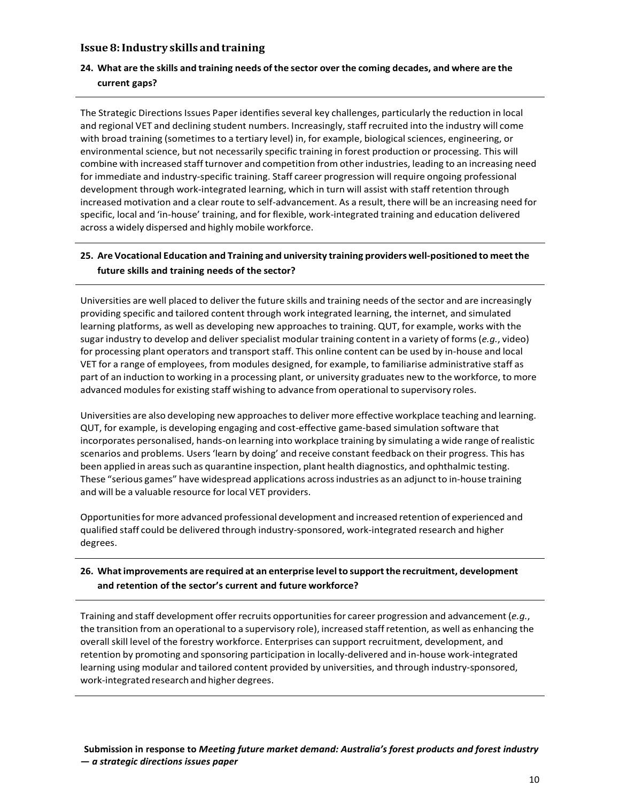## **Issue 8:Industry skills andtraining**

# 24. What are the skills and training needs of the sector over the coming decades, and where are the **current gaps?**

The Strategic Directions Issues Paper identifies several key challenges, particularly the reduction in local and regional VET and declining student numbers. Increasingly, staff recruited into the industry will come with broad training (sometimes to a tertiary level) in, for example, biological sciences, engineering, or environmental science, but not necessarily specific training in forest production or processing. This will combine with increased staff turnover and competition from otherindustries, leading to an increasing need for immediate and industry‐specific training. Staff career progression will require ongoing professional development through work‐integrated learning, which in turn will assist with staff retention through increased motivation and a clear route to self‐advancement. As a result, there will be an increasing need for specific, local and 'in‐house' training, and for flexible, work‐integrated training and education delivered across a widely dispersed and highly mobile workforce.

# **25. Are Vocational Education and Training and university training providers well‐positioned to meetthe future skills and training needs of the sector?**

Universities are well placed to deliver the future skills and training needs of the sector and are increasingly providing specific and tailored content through work integrated learning, the internet, and simulated learning platforms, as well as developing new approaches to training. QUT, for example, works with the sugar industry to develop and deliver specialist modular training content in a variety of forms (*e.g.*, video) for processing plant operators and transport staff. This online content can be used by in‐house and local VET for a range of employees, from modules designed, for example, to familiarise administrative staff as part of an induction to working in a processing plant, or university graduates new to the workforce, to more advanced modules for existing staff wishing to advance from operational to supervisory roles.

Universities are also developing new approachesto deliver more effective workplace teaching and learning. QUT, for example, is developing engaging and cost‐effective game‐based simulation software that incorporates personalised, hands‐on learning into workplace training by simulating a wide range ofrealistic scenarios and problems. Users'learn by doing' and receive constant feedback on their progress. This has been applied in areas such as quarantine inspection, plant health diagnostics, and ophthalmic testing. These "serious games" have widespread applications acrossindustries as an adjunct to in‐house training and will be a valuable resource for local VET providers.

Opportunities for more advanced professional development and increased retention of experienced and qualified staff could be delivered through industry‐sponsored, work‐integrated research and higher degrees.

# **26. Whatimprovements are required at an enterprise levelto support the recruitment, development and retention of the sector's current and future workforce?**

Training and staff development offerrecruits opportunitiesfor career progression and advancement (*e.g.*, the transition from an operational to a supervisory role), increased staffretention, as well as enhancing the overall skill level of the forestry workforce. Enterprises can support recruitment, development, and retention by promoting and sponsoring participation in locally‐delivered and in‐house work‐integrated learning using modular and tailored content provided by universities, and through industry-sponsored, work-integrated research and higher degrees.